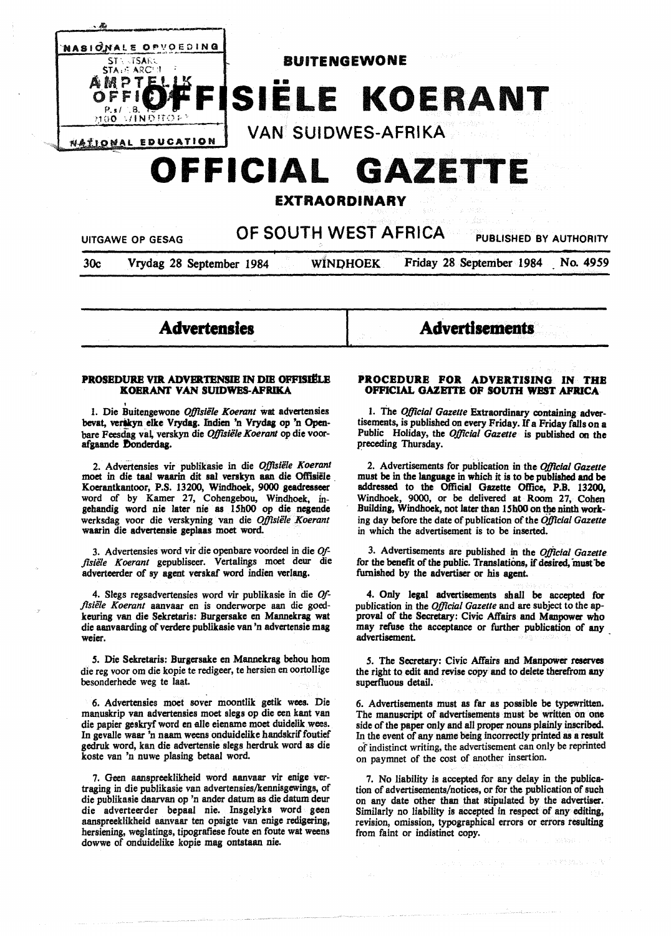

# **OFFICIAL GAZETTE**

**EXTRAORDINARY** 

UITGAWE OP GESAG **OF SOUTH WEST AFRICA** PUBLISHED BY AUTHORITY

30c Vrydag 28 September 1984 WINOHOEK Friday 28 September 1984 No. *4959* 

[ **Advertisements** 

#### **PROSEDURE VIR ADVERTENSIE IN DIE OFFISIËLE KOERANT VAN SUIDWES-AFRIKA**

**Advertensles** 

1. Die Buitengewone Offisiële Koerant wat advertensies bevat, verskyn elke Vrydag. Indien 'n Vrydag op 'n Openbare Feesdag vai verskyn die *Oj}lsiile Koerant* op die voorafgaande Donderdag.

2. Advertensies vir publikasie in die *Oj}lsiele Koerant*  moet in die taal waarin dit sal verskyn aan die Offisiële Koerantkantoor, P.S. 13200, Wmdhoek, 9000 geadresseer word of by Kamer 27, Cobengebou, Windhoek. mgebandig word nie later nie as 15h00 op die negende werksdag voor die verskyning van die *Oj}lsiele Koerant*  waarin die advertensie geplaas moet word.

3. Advertensies word vir die openbare voordeel in die *Of*fisiële Koerant gepubliseer. Vertalings moet deur die adverteerder of sy agent verskaf word indien verlang.

4. Slegs regsadvertensies word vir publikasie in die *Offisii/e Koerant* aanvaar en is onderworpe aan die goedkeuring van die Sekretaris: Burgersake en Mannekrag wat die aanvaarding of verdere publikasie van 'n advertensie mag weier.

*.S.* Die Sekretaris: Burgersake en Mannekrag behou hom die reg voor om die kopie te redigeer, te hersien en oortollige besonderhede weg te laat.

6. Advertensies moet sover moontlik getik wees. Die manuskrip van advertensies moet slegs op die een kant van die papier geskryf word en alle eiename moet duidelik wees. In gevalle waar 'n naam weens onduidelike bandskrif foutief gedruk word, kan die advertensie slegs herdruk word as die koste van 'n nuwe plasing betaal word.

7. Geen aanspreeklikheid word aanvaar vir enige vertraging in die publiltasie van advertensies/kennisgewings, of die publikasie daarvan op 'n ander datum as die datum deur die adverteerder bepaal nie. Insgelyks word geen aanspreeklikheid aanvaar ten opsigte van enige redigering, hersiening, weglatings, tipogratiese foute en foute wat weens dowwe of onduidelike kopie mag ontstaan nie.

## **PROCEDURE FOR ADVERTISING IN THE OFFICIAL GAZETTE OF SOUTH WEST AFRICA**

l. The *Oj}lcial Gazette* Extraordinary containing advertisements, is published on every Friday. If a Friday falls on a Public Holiday, the *Official Gazette* is published on the preceding Thursday.

2. Advertisements for pubiication in the *Official Gazette*  must be in the language in which it is to be published and be addressed to the Official Gazette Office, **P.B.** 13200, Windhoek, 9000, or be delivered at Room 27, Cohen Building, Windhoek. not later than 15h00 on the ninth **work**ing day before the date of publication of the *Official Gazette*  in which the advertisement is to be inserted.

3. Advertisements are published in the *Official Gazette*  for the benefit of the public. Translations, if desired, must be furnished by the advertiser or his agent.

4. Only legal advertisements shall be accepted for publication in the *Oj}lcial Gazette* and are subject to the approval of the Secretary: Civic Affairs and Manpower who may refuse the acceptance or further publication of any advertisement

*.S.* The Secretary: Civic Affairs and Manpower reserves the right to edit and revise copy and to delete therefrom any superfluous detail.

6. Advertisements must as far as possible be typewritten. The manuscript of advertisements must be written on one side of the paper only and all proper nouns plainly inscribed. In the event of any name being incorrectly printed as a result of indistinct writing, the advertisement can only be reprinted on paymnet of the cost of another insertion.

7. No liability is accepted for any delay in the publication of advertisements/notices, or for the publication of such on any date other than that stipulated by the advertiser. Similarly no liability is accepted in respect of any editing, revision, omission, typographical errors or errors resulting from faint or indistinct copy.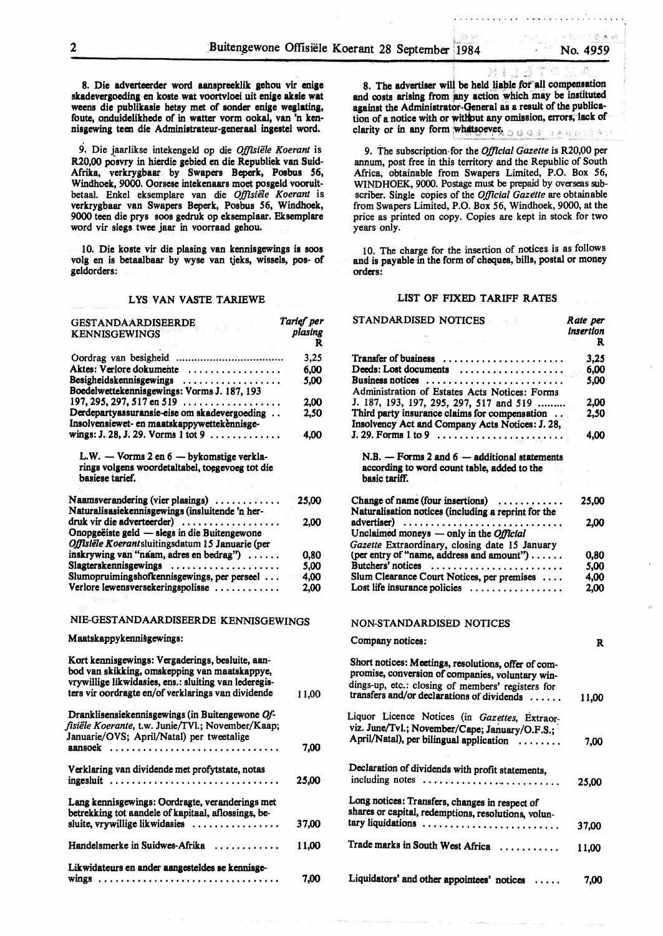8. Die adverteerder word aanapreeklik gehou vir enige akadevergoeding en koate wat voortvloei uit enige akaie wat weens die publikaaie hetay met of aonder enige weglating, foute, onduidelikhede of in watter vorm ookal, van 'n kenniagewing teen die Adminiatrateur-generaal ingeatel word.

9. Die jaarlikse intekengeld op die Offisiële Koerant is R20,00 poavry in hierdie gebied en die Republiek van Suid-Afrika, verkrygbaar by Swapers Beperk, Poabua 56, Windhoek, 9000. Oorsese intekenaars moet posgeld vooruitbetaal. Enke! eksemplare van die *Offisiiile Koerant* is verkrygbaar van Swapers Beperk, Posbus 56, Windhoek, 9000 teen die prys soos gedruk op eksemplaar. Eksemplare word vir slegs twee jaar in voorraad gehou.

10. Die koste vir die plasing van kennisgewings is soos volg en is betaalbaar by wyse van tjeks, wissels, pos- of geldorders:

#### LYS VAN VASTE TARIEWE

| <b>GESTANDAARDISEERDE</b><br><b>KENNISGEWINGS</b>                                                                              | Tarief per<br>plasing<br>R |
|--------------------------------------------------------------------------------------------------------------------------------|----------------------------|
|                                                                                                                                | 3,25                       |
| Aktes: Verlore dokumente                                                                                                       | 6.00                       |
| Besigheidskennisgewings<br>Boedelwettekennisgewings: Vorms J. 187, 193                                                         | 5.00                       |
| $197, 295, 297, 517$ en 519                                                                                                    | 2,00                       |
| Derdepartyassuransie-eise om skadevergoeding<br>Insolvensiewet- en maatskappywettekennisge-                                    | 2,50                       |
| wings: J. 28, J. 29. Vorms 1 tot 9                                                                                             | 4,00                       |
| L.W. — Vorms 2 en 6 — bykomstige verkla-<br>rings volgens woordetaltabel, toegevoeg tot die<br>basiese tarief.                 |                            |
| Naamsverandering (vier plasings)<br>Naturalisasiekennisgewings (insluitende 'n her-                                            | 25,00                      |
| druk vir die adverteerder)<br>Onopgeëiste geld — slegs in die Buitengewone<br>Offisiële Koerantsluitingsdatum 15 Januarie (per | 2.00                       |
| inskrywing van "naam, adres en bedrag")                                                                                        | 0.80                       |
| Slagterskennisgewings                                                                                                          | 5,00                       |
| Slumopruimingshofkennisgewings, per perseel                                                                                    | 4.00                       |
| Verlore lewensversekeringspolisse                                                                                              | 2.00                       |
|                                                                                                                                |                            |
| NIE-GESTANDAARDISEERDE KENNISGEWINGS                                                                                           |                            |
| Maatskappykennisgewings:                                                                                                       |                            |
|                                                                                                                                |                            |

| Kort kennisgewings: Vergaderings, besluite, aan-<br>bod van skikking, omskepping van maatskappye,<br>vrywillige likwidasies, ens.: sluiting van lederegis-<br>ters vir oordragte en/of verklarings van dividende |       |
|------------------------------------------------------------------------------------------------------------------------------------------------------------------------------------------------------------------|-------|
|                                                                                                                                                                                                                  | 11.00 |
| Dranklisensiekennisgewings (in Buitengewone Of-<br>fisiële Koerante, t.w. Junie/TVl.; November/Kaap;<br>Januarie/OVS; April/Natal) per tweetalige                                                                |       |
| aansoek                                                                                                                                                                                                          | 7,00  |
| Verklaring van dividende met profytstate, notas<br>ingesluit                                                                                                                                                     | 25,00 |
| Lang kennisgewings: Oordragte, veranderings met<br>betrekking tot aandele of kapitaal, aflossings, be-<br>sluite, vrywillige likwidasies                                                                         | 37,00 |
| Handelsmerke in Suidwes-Afrika<br>. . <b>.</b>                                                                                                                                                                   | 11.00 |
| Likwidateurs en ander aangesteldes se kennisge-                                                                                                                                                                  | 7.00  |

8. The advertiser will be held liable for all compensation and costs arising from any action which may be instituted against the Administrator-Qeneral as a result of the publication of a notice with or without any omission, errors, lack of clarity or in any form whatsoever,  $\circ \circ$ 

9. The subscription-for the *Official Gazette* is R20,00 per annum, post free in this territory and the Republic of South Africa, obtainable from Swapers Limited, P.O. Box *56,*  WINDHOEK, 9000. Postage must be prepaid by overseas subscriber. Single copies of the *Official Gazette* are obtainable from Swapers Limited, P.O. Box 56, Windhoek, 9000, at the price as printed on copy. Copies are kept in stock for two years only.

IO. The charge for the insertion of notices is as follows and is payable in the form of cheques, bills, postal or money orders:

#### LIST OF FIXED TARIFF RATES

STANDARD NOTICES

| STANDARDISED NOTICES                                                                                                                                                                                       | Rate per<br>insertion<br>R |
|------------------------------------------------------------------------------------------------------------------------------------------------------------------------------------------------------------|----------------------------|
| Transfer of business<br>.                                                                                                                                                                                  | 3,25                       |
| Deeds: Lost documents                                                                                                                                                                                      | 6.00                       |
| Business notices                                                                                                                                                                                           | 5,00                       |
| Administration of Estates Acts Notices: Forms                                                                                                                                                              |                            |
| J. 187, 193, 197, 295, 297, 517 and 519                                                                                                                                                                    | 2.00                       |
| Third party insurance claims for compensation                                                                                                                                                              | 2,50                       |
| Insolvency Act and Company Acts Notices: J. 28,                                                                                                                                                            |                            |
|                                                                                                                                                                                                            | 4.00                       |
| $N.B. - Forms 2 and 6 - additional statements$<br>according to word count table, added to the<br>basic tariff.                                                                                             |                            |
|                                                                                                                                                                                                            |                            |
| Change of name (four insertions)<br>Naturalisation notices (including a reprint for the                                                                                                                    | 25,00                      |
| advertiser)                                                                                                                                                                                                | 2.00                       |
| Unclaimed moneys — only in the Official                                                                                                                                                                    |                            |
| Gazette Extraordinary, closing date 15 January                                                                                                                                                             |                            |
| (per entry of "name, address and amount")<br>Butchers' notices                                                                                                                                             | 0.80                       |
| Slum Clearance Court Notices, per premises                                                                                                                                                                 | 5,00<br>4.00               |
| Lost life insurance policies                                                                                                                                                                               | 2.00                       |
| NON-STANDARDISED NOTICES                                                                                                                                                                                   |                            |
| Company notices:                                                                                                                                                                                           | R                          |
| Short notices: Meetings, resolutions, offer of com-<br>promise, conversion of companies, voluntary win-<br>dings-up, etc.: closing of members' registers for<br>transfers and/or declarations of dividends | 11,00                      |
| Liquor Licence Notices (in Gazettes, Extraor-                                                                                                                                                              |                            |
| viz. June/Tvl.; November/Cape; January/O.F.S.;                                                                                                                                                             |                            |
| April/Natal), per bilingual application<br>.                                                                                                                                                               |                            |
|                                                                                                                                                                                                            | 7,00                       |
| Declaration of dividends with profit statements,<br>including notes                                                                                                                                        | 25,00                      |
|                                                                                                                                                                                                            |                            |
| Long notices: Transfers, changes in respect of<br>shares or capital, redemptions, resolutions, volun-                                                                                                      |                            |
| tary liquidations                                                                                                                                                                                          | 37,00                      |
| Trade marks in South West Africa                                                                                                                                                                           | 11,00                      |
| Liquidators' and other appointees' notices                                                                                                                                                                 | 7,00                       |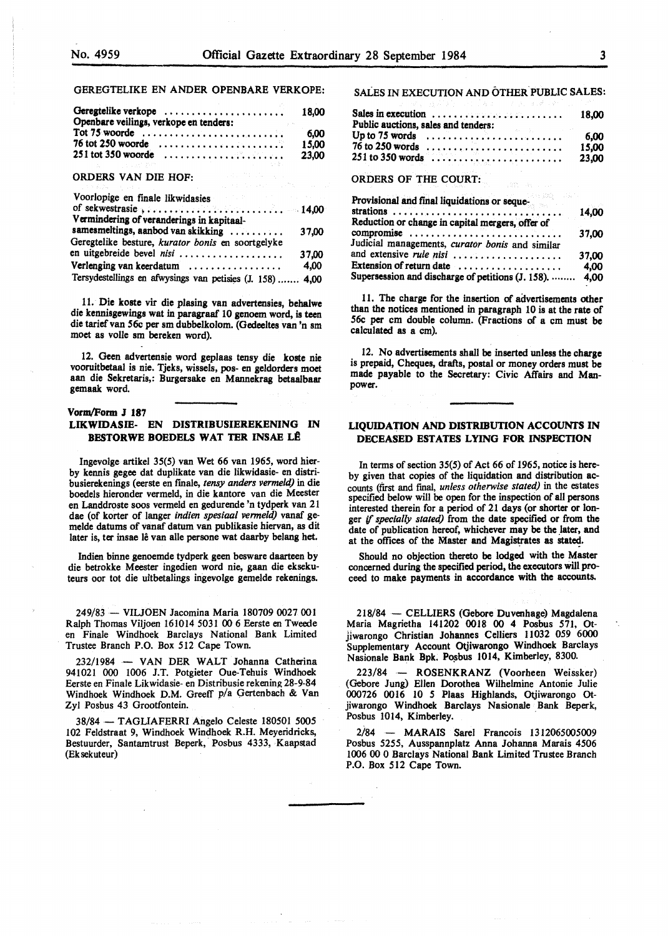## GEREGTELIKE EN ANDER OPENBARE VERKOPE:

| Geregtelike verkope<br>Openbare veilings, verkope en tenders:                                                                                   | 18.00         |
|-------------------------------------------------------------------------------------------------------------------------------------------------|---------------|
| Tot 75 woorde $\ldots \ldots \ldots \ldots \ldots \ldots \ldots \ldots$<br>76 tot 250 woorde $\ldots \ldots \ldots \ldots \ldots \ldots \ldots$ | 6.00<br>15.00 |
| $251$ tot 350 woorde $\ldots \ldots \ldots \ldots \ldots \ldots$                                                                                | 23.00         |

#### ORDERS VAN DIE HOF:

| Voorlopige en finale likwidasies and a statistical control of the statistic statistic statistic statistic statistic statistic statistic statistic statistic statistic statistic statistic statistic statistic statistic statis |       |
|--------------------------------------------------------------------------------------------------------------------------------------------------------------------------------------------------------------------------------|-------|
|                                                                                                                                                                                                                                |       |
| Vermindering of veranderings in kapitaal-                                                                                                                                                                                      |       |
| samesmeltings, aanbod van skikking                                                                                                                                                                                             | 37,00 |
| Geregtelike besture, kurator bonis en soortgelyke                                                                                                                                                                              |       |
| en uitgebreide bevel nisi                                                                                                                                                                                                      | 37.00 |
| Verlenging van keerdatum                                                                                                                                                                                                       | 4,00  |
| Tersydestellings en afwysings van petisies (J. 158)  4,00                                                                                                                                                                      |       |

11. Die koste vir die plasing van advertensies, behalwe die **kennisgewings** wat in paragraaf 10 genoem word, is teen die tarief van 56c per sm dubbelkolom. (Oedeeltes van 'n sm moet as volle sm bereken word).

12. Geen advertensie word geplaas tensy die koste nie vooruitbetaal is nie. Tjeks, wissels, pos- en geldorders moet aan die Sekretaris,: Burgersake en Mannekrag betaalbaar gemaak word

## **Vorm/Form J 187**

## **LIKWIDASIE- EN DISTRIBUSIEREKENINO IN BESTORWE BOEDELS WAT TER INSAE LÊ**

Ingevolge artikel 35(5) van Wet 66 van 1965, word hierby kennis **gegee** dat duplikate van die likwidasie- en distribusierekenings (eerste en fmale, *tensy anders vermeld)* in die boedels hieronder vermeld, in die kantore van die Meester en Landdroste soos vermeld en gedurende 'n tydperk van 21 dae (of korter of !anger *indien spesiaal venneld)* vanaf gemelde datums of vanaf datum van publikasie hiervan, as dit later is, ter insae lê van alle persone wat daarby belang het.

Indien binne genoemde tydperk geen besware daarteen by die betrokke Meester ingedien word nie, gaan die eksekuteurs oor tot die uitbetalings ingevolge gemelde rekenings.

249/83 - VILJOEN Jacomina Maria 180709 0027 001 Ralph Thomas Viljoen 161014 5031 00 6 Eerste en Tweede en Finale Windhoek Barclays National Bank Limited Trustee Branch P.O. Box 512 Cape Town.

232/1984 - VAN DER WALT Johanna Catherina 941021 000 1006 J.T. Potgieter Oue-Tehuis Windhoek Eerste en Finale Likwidasie- en Distribusie rekening 28-9-84 Windhoek Windhoek D.M. Greeff p/a Oertenbach & Van Zyl Posbus 43 Orootfontein.

38/84 - TAGLIAFERRI Angelo Celeste 180501 *5005*  102 Feldstraat 9, Windhoek Windhoek R.H. Meyeridricks, Bestuurder, Santamtrust Beperk, Posbus 4333, Kaapstad (Ek sekuteur)

SALES IN EXECUTION AND OTHER PUBLIC SALES:

| Sales in execution $\ldots \ldots \ldots \ldots \ldots \ldots$                                               | 18.00 |
|--------------------------------------------------------------------------------------------------------------|-------|
| Public auctions, sales and tenders:                                                                          |       |
| and Burns for the control of the<br>Up to 75 words $\ldots \ldots \ldots \ldots \ldots \ldots \ldots \ldots$ | 6.00  |
| $76$ to 250 words $\ldots \ldots \ldots \ldots \ldots \ldots \ldots$                                         | 15.00 |
|                                                                                                              | 23.00 |

#### ORDERS OF THE COURT:

| Provisional and final liquidations or seque-      |       |
|---------------------------------------------------|-------|
|                                                   | 14,00 |
| Reduction or change in capital mergers, offer of  |       |
| compromise                                        | 37,00 |
| Judicial managements, curator bonis and similar   |       |
| and extensive rule nisi                           | 37,00 |
| Extension of return date                          | 4,00  |
| Supersession and discharge of petitions (J. 158). | 4,00  |

11. The charge for the insertion of advertisements other than the notices mentioned in paragraph 10 is at the rate of 56c per cm double column. (Fractions of a cm must be calculated as a cm).

12. No advertisements shall be inserted unless the **charge**  is prepaid, Cheques, drafts, postal or money orders must be made payable to the Secretary: Civic Affairs and Manpower.

## **LIQUIDATION AND DISTRIBUTION ACCOUNTS IN DECEASED ESTATES LYING FOR INSPECTION**

In terms of section 35(5) of Act 66 of 1965, notice is hereby given that copies of the liquidation and distribution accounts (first and final, *unless otherwise stated)* in the estates specified below will be open for the inspection of all persons interested therein for a period of 21 days (or shorter or longer if *specially stated)* from the date specified or from the date of publication hereof, whichever may be the later, and at the offices of the Master and Magistrates as stated.

Should no objection thereto be lodged with the Master concerned during the specified period, the executors will proceed to make payments in accordance with the accounts.

218/84 - CELLIERS (Oebore Duvenhage) Magdalena Maria Magrietha 141202 0018 00 4 Posbus 571, Otjiwarongo Christian Johannes Celliers 11032 059 6000 Supplementary Account Otjiwarongo Windhoek Barclays Nasionale Bank Bpk. Posbus 1014, Kimberley, 8300.

223/84 - **ROSENKRANZ** (Voorheen Weissker) (Gebore Jung) Ellen Dorothea Wilhelmine Antonie Julie 000726 0016 IO *5* Plaas Highlands, Otjiwarongo Otjiwarongo Windhoek Barclays Nasionale Bank Beperk, Posbus 1014, Kimberley.

2i84 - MARAIS Sare! Francois 1312065005009 Posbus *5255,* Ausspannplatz Anna Johanna Marais *4506*  1006 00 0 Barclays National Bank Limited Trustee Branch P.O. Box 512 Cape Town.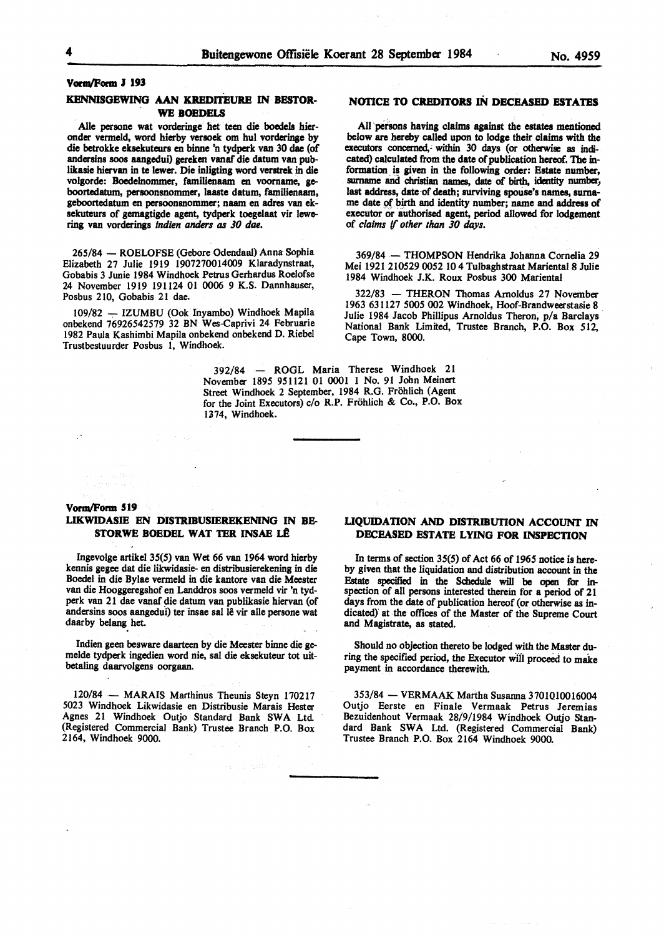## Vorm/Form J 193

## **KENNISGEWING AAN KREDITEURB** IN **BBSTOR-WE BOEDELS**

Aile persone wat vorderinge bet teen die boedela hieronder vermeld, word hierby versoek om hut vorderinge by die betrokke eksekuteurs en binne 'n tydperk van 30 dae (of anderains soos aangedui) gereken vanaf die datum van publikasie hiervan in te lewer. Die inligting word verstrek in die volgorde: Boedelnommer, familienaam en voorname, geboortedatum, persoonsnommer, laaste datum, familienaam, geboortedatum en persoonsnommer; naam en adres van eksekuteurs of **gemagtigde** agent, tydperk toegelaat vir lewering van vorderings *indien anders as JO dae.* 

265/84 - ROELOFSE (Gebore Odendaal) Anna Sophia Elizabeth 27 Julie 1919 1907270014009 Klaradynstraat, Gobabis 3 Junie 1984 Windhoek Petrus Gerhardus Roelofse 24 November 1919 191124 01 0006 9 **K.S.** Dannhauser, Posbus 210, Gobabis 21 dae.

109/82 — IZUMBU (Ook Inyambo) Windhoek Mapila onbekend 76926542579 32 BN Wes-Caprivi 24 Februarie 1982 Paula Kashimbi Mapila onbekend onbekend D. Riebel Trustbestuurder Posbus l, Windhoek.

## **NOTICE TO CREDITORS** IN **DECEASED ESTATBS**

All persons having claims against the estates mentioned below are hereby called upon to lodge their claims with the executors concerned, within 30 days (or otherwise as indicated) calculated from the date of publication hereof. The information is given in the following order: Estate number, surname and christian names, date of birth, identity number, last address, date of death; surviving spouse's names, surname date pf birth and identity number; name **and address** of executor or authorised agent, period allowed for lodgement of *claims* if *other than JO days.* 

369/84 - THOMPSON Hendrika Johanna Cornelia 29 Mei 19212105290052104 Tulbaghstraat Mariental 8 Julie 1984 Windhoek J.K. Roux Posbus 300 Mariental

322/83 - THERON Thomas Arnoldus 27 November 1963 631127 5005 002 Windhoek, Hoof-Brandweerstasie 8 Julie 1984 Jacob Phillipus Arnoldus Theron, p/a Barclays National Bank Limited, Trustee Branch, P.O. Box 512, Cape Town, 8000.

392/84 - ROGL Maria Therese Windhoek 21 November 1895 951121 01 0001 I No. 91 John Meinert Street Windhoek 2 September, 1984 R.G. Frohlich (Agent for the Joint Executors) c/o R.P. Frohlich & Co., P.O. Box 1374, Windhoek.

### Vorm/Form 519

## **LIKWIDASIE EN DISTRIBUSIEREKENING** IN **BB-STORWE BOEDEL WAT TER INSAE LÊ**

Ingevolge artikel 35(5) van Wet 66 van 1964 word hierby kennis **gegee** dat die likwidasie- en distribusierekening in die Boedel in die Bylae vermeld in die kantore van die Meester van die Hooggeregshof en Landdros soos vermeld vir 'n tydperk van 21 dae vanaf die datum van publikasie hiervan (of andersins soos aangedui) ter insae sal lê vir alle persone wat daarby belang bet.

Indien geen besware daarteen by die Meester binne die gemelde tydperk ingedien word nie, sal die eksekuteur tot uitbetaling daarvolgens oorgaan.

120/84 - MARAIS Marthinus Theunis Steyn 170217 5023 Windhoek Likwidasie en Distribusie Marais Hester Agnes 21 Windhoek Outjo Standard Bank SWA Ltd. (Registered Commercial Bank) Trustee Branch P.O. Box 2164, Windhoek 9000.

## **UQUIDATION AND DISTRIBUTION ACCOUNT** IN **DECEASED ESTATE LYING FOR INSPECTION**

In terms of section 35(5) of Act 66 of 1965 notice is hereby given that the liquidation and distribution account in the Estate specified in the Schedule will **be open** for inspection of all persons interested therein for a period of 21 days from the date of publication hereof (or otherwise as indicated} at the offices of the Master of the Supreme Court and Magistrate, as stated.

Should no objection thereto be lodged with the Master during the specified period, the Executor will proceed to make payment in accordance therewith.

353/84 - VERMAAK Martha Susanna 3701010016004 Outjo Eerste en Finale Vermaak Petrus Jeremias Bezuidenhout Vermaak 28/9/1984 Windhoek Outjo Standard Bank SWA Ltd. (Registered Commercial Bank) Trustee Branch P.O. Box 2164 Windhoek 9000.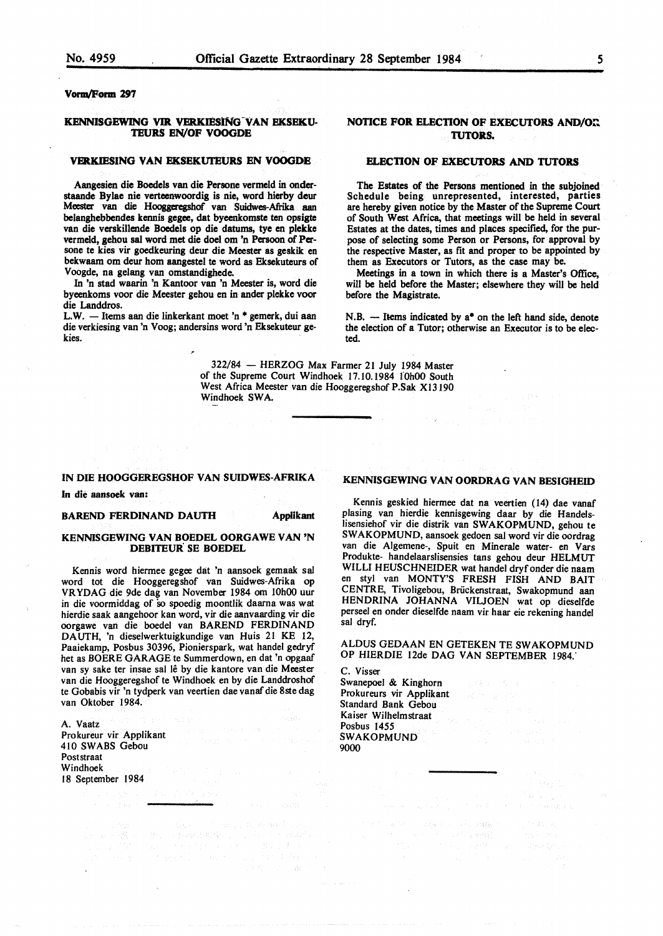## **Vonn/Porm 297**

## KENNISGEWING VIR VERKIESING VAN EKSEKU-**TEURS EN/OF VOOGDE**

#### **VERKIESING VAN EKSBKUI'EURS EN VOOGDE**

Aangesien die Boedels van die Persone vermeld in onderstaande Bylae nie verteenwoordig is nie, word bierby deur Meester van die Hooggeregsbof van Suidwes-Afiika aan belanghebbendes kennis **gegee,** dat byeenkomste ten opsigte van die verskillende Boedels op die datums, tye en plekke vermeld, gehou sal word met die doel om 'n Persoon of Per sone te kies vir goedkeuring deur die Meester as geskik en bekwaam om deur hom aangestel te word as Eksekuteurs of Voogde, na gelang van omstandigbede.

In 'n stad waarin 'n Kantoor van 'n Meester is, word die byeenkoms voor die Meester gehou en in ander plekke voor die Landdros.

L.W. - Items aan die linkerkant moet 'n \* gemerk, dui aan die verkiesing van 'n Voog; andersins word 'n Eksekuteur gekies.

## **NOTICE FOR ELECTION OF EXECUTORS AND/ON TUTORS.**

## **ELECTION OF EXECUTORS AND TUTORS**

The Estates of the Persons mentioned in the subjoined Schedule being unrepresented, interested, parties are hereby given notice by the Master of the Supreme Court of South West Africa, that meetings will be held in several Estates at the dates, times and places specified, for the purpose of selecting some Person or Persons, for approval by the respective Master, as fit and proper to be appointed by them as Executors or Tutors, as the case may be.

Meetings in a town in which there is a Master's Office, will be held before the Master; elsewhere they will be held before the **Magistrate.** 

N.B.  $-$  Items indicated by  $a^*$  on the left hand side, denote the election of a Tutor; otherwise an Executor is to be elected.

322/84 - HERZOG Max Farmer 21 July 1984 Master of the Supreme Court Windhoek 17.10.1984 I'OhOO South West Africa Meester van die Hooggeregshof P.Sak Xl3190 Windhoek SWA.

#### **IN DIE HOOGGEREGSHOF VAN SUIDWES-AFRIKA**

In **die aansoek van:** 

#### **BAREND FERDINAND DAUTH 40 Applikant**

#### **KENNISGEWING VAN BOEDEL OORGAWE VAN 'N DEBITEUR SE BOEDEL**

Kennis word hiermee gegee dat 'n aansoek gemaak sal word tot die Hooggeregshof van Suidwes-Afrika op YR YDAG die 9de dag van November 1984 om 10h00 uur in die voormiddag of so spoedig moontlik daarna was wat hierdie saak aangehoor kan word, vir die aanvaarding vir die oorgawe van die boedel van BAREND FERDINAND DAUTH, 'n dieselwerktuigkundige van Huis 21 KE 12, Paaiekamp, Posbus 30396, Pionierspark, wat handel gedryf het as BOERE GARAGE te Summerdown, en dat 'n opgaaf van sy sake ter insae sal lê by die kantore van die Meester van die Hooggeregshof te Windhoek en by die Landdroshof te Gobabis vir 'n tydperk van veertien dae vanaf die 8ste dag van Oktober 1984.

A. Vaatz Prokureur vir Applikant 410 SW ABS Gebou Poststraat Windhoek 18 September 1984

## **KENNISGEWING VAN OORDRAG VAN BESIGHEID**

Kennis geskied hiermee dat na veertien (14) dae vanaf plasing van hierdie kennisgewing daar by die Handelslisensiehof vir die distrik van SWAKOPMUND, gehou te SWAKOPMUND, aansoek gedoen sal word vir die oordrag van die Algemene-, Spuit en Minerale water- en Vars Produkte- handelaarslisensies tans gehou deur HELMUT WILLI HEUSCHNEIDER wat handel dryfonder die naam en sty! van MONTY'S FRESH FISH AND BAIT CENTRE, Tivoligebou, Briickenstraat, Swakopmund aan HENDRINA JOHANNA VILJOEN wat op dieselfde perseel en onder dieselfde naam vir haar eie rekening handel sal dryf.

ALDUS GEDAAN EN GETEKEN TE SW AKOPMUND OP HIERDIE 12de DAG VAN SEPTEMBER 1984.'

 $x \in \{0.5\}$ 

C. Visser Swanepoel & Kinghorn Prokureurs vir Applikant Standard Bank Gebou Kaiser Wilhelmstraat Posbus 1455 SWAKOPMUND 9000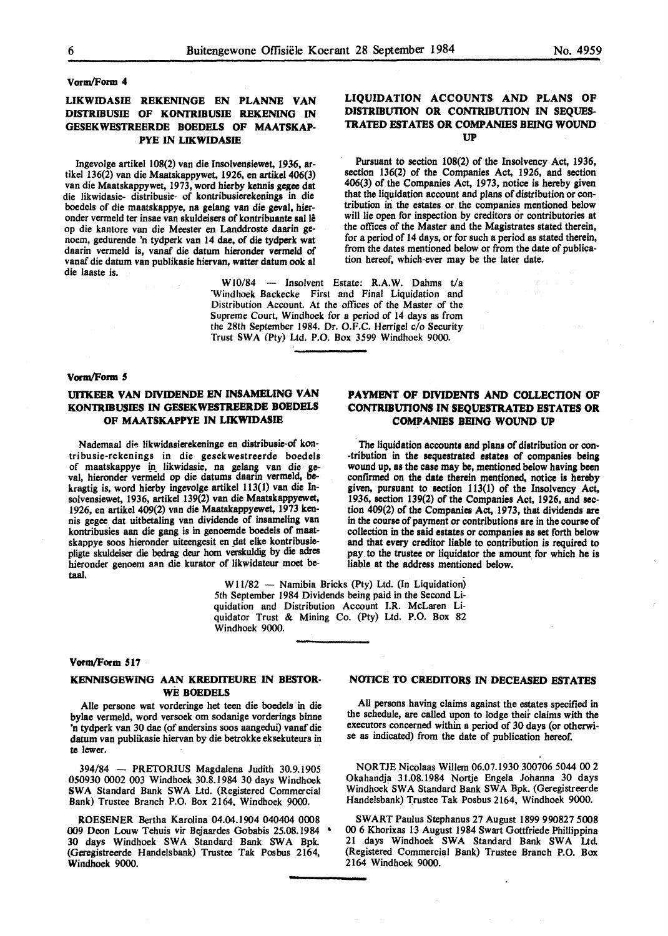#### Vorm/Form **4**

## **LIKWIDASIE REKENINGE EN PLANNE VAN DISTRIBUSIE** OF **KONTRIBUSIE REKENING IN GESEKWESTREERDE BOEDELS OF MAATSKAP-PYE IN LIKWIDASIE**

Ingevolge artikel 108(2) van die Insolvensiewet, 1936, artikel 136(2) van die Maatskappywet, 1926, en artikel 406(3) van die Maatskappywet, 1973, word hierby kennis gegee dat die likwidasie- distribusie- of kontribusierekenings in die boedels of die maatskappye, na gelang van die geval, hieronder vermeld ter insae van skuldeisers of kontribuante sal le op die kantore van die Meester en Landdroste daarin genoem, gedurende 'n tydperk van 14 dae, of die tydperk wat daarin vermeld is, vanaf die datum hieronder vermeld of vanaf die datum van publikasie hiervan, watter datum ook al die laaste is.

> WI0/84 - Insolvent Estate: **R.A.W.** Dahms t/a 'Windhoek Backecke First and Final Liquidation and Distribution Account. At the offices of the Master of the Supreme Court, Windhoek for a period of 14 days as from the 28th September 1984. Dr. O.F.C. Herrigel c/o Security Trust SWA (Ptv) Ltd. P.O. Box 3599 Windhoek 9000.

#### **Vonn/Form** \$

## **UITKEER VAN DIVIDENDE EN INSAMELING VAN KONTRIBUSIES IN GESEKWESTREERDE BOEDELS OF MAATSKAPPYE IN LIKWIDASIE**

Nademaal die likwidasierekeninge en distribusie-of kontribusie-rekenings in die gesekwestreerde boedels of maatskappye in likwidasie, na gelang van die geval, hieronder vermeld op die datums daarin vermeld, bek.ragtig is, word hierby ingevolge artikel 113(1) van die Insolvensiewet, 1936, artikel 139(2) van die **Maatskappyewet,**  1926, en artikel 409(2) van die Maatskappyewet, 1973 kennis gegee dat uitbetaling van dividende of insameling van kontribusies aan die gang is in genoemde boedels of maatskappye soos hieronder uiteengesit en dat elke kontribusiepligte skuldeiser die bedrag deur horn verskuldig by die adres hieronder genoem aan die kurator of likwidateur moet betaal.

## **PAYMENT OF DIVIDENTS AND COLLECTION OF CONTRIBUTIONS** IN **SEQUESTRATED ESTATES OR COMPANIES BEING WOUND UP**

**LIQUIDATION ACCOUNTS AND PLANS OF DISTRIBUTION OR CONTRIBUTION IN SEQUES-TRATED ESTATES OR COMPANIES BEING WOUND UP** 

Pursuant to section 108(2) of the Insolvency Act, 1936, section 136(2) of the Companies Act, 1926, and section 406(3) of the Companies Act, 1973, notice is hereby given that the liquidation account and plans of distribution or contribution in the estates or the companies mentioned below will lie open for inspection by creditors or contributories at the offices of the Master and the Magistrates stated therein, for a period of 14 days, or for such a period as stated therein, from the dates mentioned below or from the date of publica-

tion hereof, which-ever may be the later date.

The liquidation accounts and plans of distribution or con-•tribution in the **sequestrated estates** of companies being wound up, as the case may **be,** mentioned below having been confirmed on the date therein mentioned, notice is hereby given, pursuant to section 113(1) of the Insolvency Act, 1936, section 139(2) of the Companies Act, 1926, and section 409(2) of the Companies Act, 1973, that dividends **are**  in the course of payment or contributions **are** in the course of collection in the said estates or companies as set forth below and that every creditor liable to contribution is required to pay to the trustee or liquidator the amount for which he is liable at the **address** mentioned below.

**W** 11/82 - Namibia Bricks (Pty) Ltd. (In Liquidation) 5th September 1984 Dividends being paid in the Second Liquidation and Distribution Account I.R. McLaren Liquidator Trust & Mining Co. (Pty) Ltd. P.O. Box 82 Windhoek 9000.

### **Vonn/Form 517**

## **KENNISGEWING AAN KREDITEURE IN BESTOR-WE BOEDELS**

Aile persone wat vorderinge het teen die boedels in die bylae vermeld, word versoek om sodanige vorderings binne 'n tydperk van 30 dae (of andersins soos aangedui) vanaf die datum van publikasie hiervan by die betrokke eksekuteurs in te lewer.

394/84 - PRETORIUS Magdalena Judith 30.9.1905 050930 0002 003 Windhoek 30.8.1984 30 days Windhoek SWA Standard Bank SWA Ltd. (Registered Commercial Bank) Trustee Branch P.O. Box 2164, Windhoek 9000.

ROESENER Bertha Karolina 04.04.1904 040404 0008 009 Deon Louw Tehuis vir Bejaardes Gobabis 25.08.1984 • 30 days Windhoek SWA Standard Bank SWA Bpk. (Geregistreerde Handelsbank) Trustee Tak Posbus 2164, **Windhoek** 9000.

#### **NOTICE TO CREDITORS** IN **DECEASED ESTATES**

All persons having claims against the estates specified in the schedule, are called upon to lodge their claims with the executors concerned within a period of 30 days (or otherwise as indicated) from the date of publication hereof.

NORTJE Nicolaas Willem 06.07.1930 300706 5044 00 2 Okahandja 31.08.1984 Nortje Engela Johanna 30 days Windhoek SWA Standard Bank SWA Bpk. (Geregistreerde Handelsbank) Trustee Tak Posbus 2164, Windhoek 9000.

SWART Paulus Stephanus 27 August 1899 990827 5008 00 6 Khorixas 13 August 1984 Swart Gottfriede Phillippina 21 .days Windhoek SWA Standard Bank SWA Ltd (Registered Commercial Bank) Trustee Branch P.O. Box 2164 Windhoek 9000.